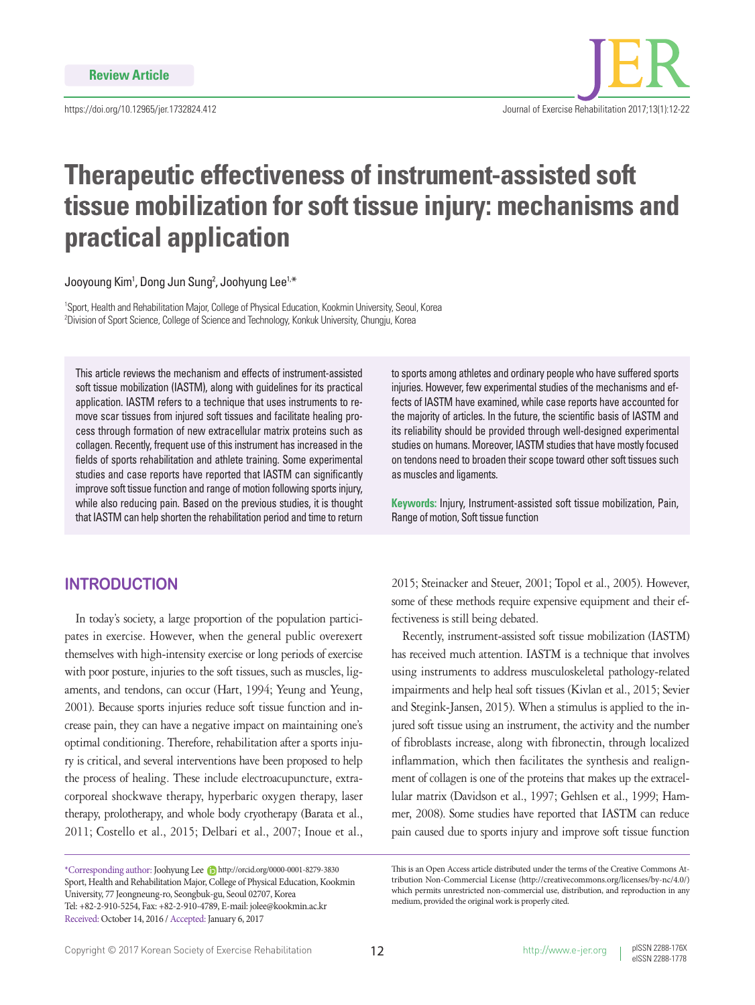

# **Therapeutic effectiveness of instrument-assisted soft tissue mobilization for soft tissue injury: mechanisms and practical application**

Jooyoung Kim<sup>1</sup>, Dong Jun Sung<sup>2</sup>, Joohyung Lee<sup>1,\*</sup>

<sup>1</sup>Sport, Health and Rehabilitation Major, College of Physical Education, Kookmin University, Seoul, Korea 2 Division of Sport Science, College of Science and Technology, Konkuk University, Chungju, Korea

This article reviews the mechanism and effects of instrument-assisted soft tissue mobilization (IASTM), along with guidelines for its practical application. IASTM refers to a technique that uses instruments to remove scar tissues from injured soft tissues and facilitate healing process through formation of new extracellular matrix proteins such as collagen. Recently, frequent use of this instrument has increased in the fields of sports rehabilitation and athlete training. Some experimental studies and case reports have reported that IASTM can significantly improve soft tissue function and range of motion following sports injury, while also reducing pain. Based on the previous studies, it is thought that IASTM can help shorten the rehabilitation period and time to return

## **INTRODUCTION**

In today's society, a large proportion of the population participates in exercise. However, when the general public overexert themselves with high-intensity exercise or long periods of exercise with poor posture, injuries to the soft tissues, such as muscles, ligaments, and tendons, can occur (Hart, 1994; Yeung and Yeung, 2001). Because sports injuries reduce soft tissue function and increase pain, they can have a negative impact on maintaining one's optimal conditioning. Therefore, rehabilitation after a sports injury is critical, and several interventions have been proposed to help the process of healing. These include electroacupuncture, extracorporeal shockwave therapy, hyperbaric oxygen therapy, laser therapy, prolotherapy, and whole body cryotherapy (Barata et al., 2011; Costello et al., 2015; Delbari et al., 2007; Inoue et al.,

to sports among athletes and ordinary people who have suffered sports injuries. However, few experimental studies of the mechanisms and effects of IASTM have examined, while case reports have accounted for the majority of articles. In the future, the scientific basis of IASTM and its reliability should be provided through well-designed experimental studies on humans. Moreover, IASTM studies that have mostly focused on tendons need to broaden their scope toward other soft tissues such as muscles and ligaments.

**Keywords:** Injury, Instrument-assisted soft tissue mobilization, Pain, Range of motion, Soft tissue function

2015; Steinacker and Steuer, 2001; Topol et al., 2005). However, some of these methods require expensive equipment and their effectiveness is still being debated.

Recently, instrument-assisted soft tissue mobilization (IASTM) has received much attention. IASTM is a technique that involves using instruments to address musculoskeletal pathology-related impairments and help heal soft tissues (Kivlan et al., 2015; Sevier and Stegink-Jansen, 2015). When a stimulus is applied to the injured soft tissue using an instrument, the activity and the number of fibroblasts increase, along with fibronectin, through localized inflammation, which then facilitates the synthesis and realignment of collagen is one of the proteins that makes up the extracellular matrix (Davidson et al., 1997; Gehlsen et al., 1999; Hammer, 2008). Some studies have reported that IASTM can reduce pain caused due to sports injury and improve soft tissue function

<sup>\*</sup>Corresponding author: Joohyung Lee http://orcid.org/0000-0001-8279-3830 Sport, Health and Rehabilitation Major, College of Physical Education, Kookmin University, 77 Jeongneung-ro, Seongbuk-gu, Seoul 02707, Korea Tel: +82-2-910-5254, Fax: +82-2-910-4789, E-mail: jolee@kookmin.ac.kr Received: October 14, 2016 / Accepted: January 6, 2017

This is an Open Access article distributed under the terms of the Creative Commons Attribution Non-Commercial License (http://creativecommons.org/licenses/by-nc/4.0/) which permits unrestricted non-commercial use, distribution, and reproduction in any medium, provided the original work is properly cited.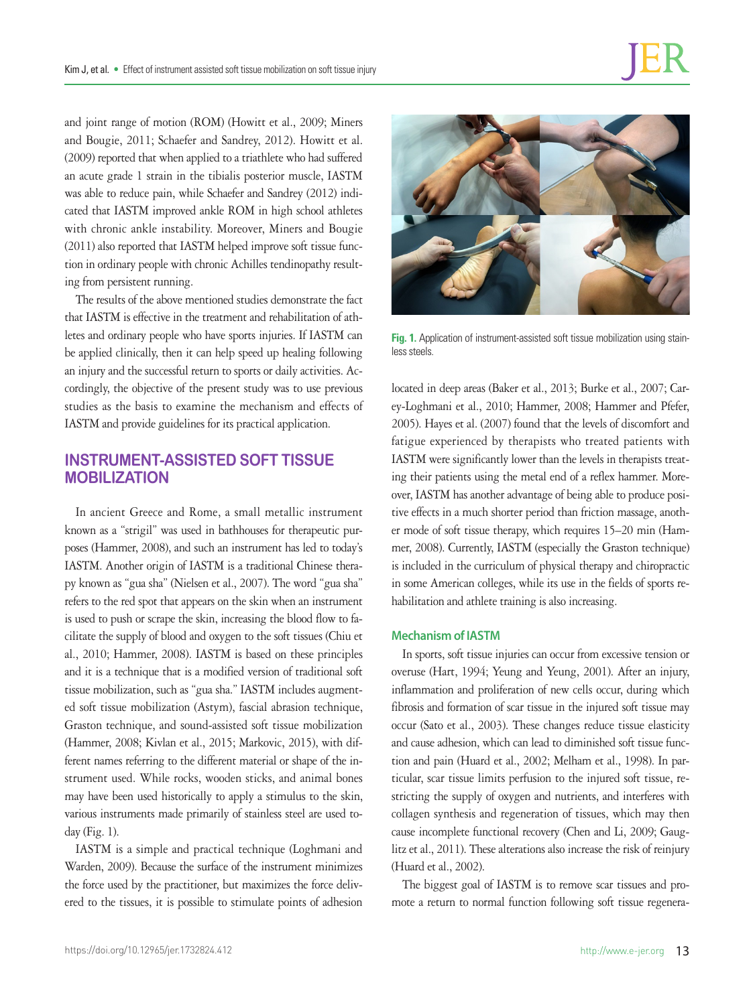and joint range of motion (ROM) (Howitt et al., 2009; Miners and Bougie, 2011; Schaefer and Sandrey, 2012). Howitt et al. (2009) reported that when applied to a triathlete who had suffered an acute grade 1 strain in the tibialis posterior muscle, IASTM was able to reduce pain, while Schaefer and Sandrey (2012) indicated that IASTM improved ankle ROM in high school athletes with chronic ankle instability. Moreover, Miners and Bougie (2011) also reported that IASTM helped improve soft tissue function in ordinary people with chronic Achilles tendinopathy resulting from persistent running.

The results of the above mentioned studies demonstrate the fact that IASTM is effective in the treatment and rehabilitation of athletes and ordinary people who have sports injuries. If IASTM can be applied clinically, then it can help speed up healing following an injury and the successful return to sports or daily activities. Accordingly, the objective of the present study was to use previous studies as the basis to examine the mechanism and effects of IASTM and provide guidelines for its practical application.

## **INSTRUMENT-ASSISTED SOFT TISSUE MOBILIZATION**

In ancient Greece and Rome, a small metallic instrument known as a "strigil" was used in bathhouses for therapeutic purposes (Hammer, 2008), and such an instrument has led to today's IASTM. Another origin of IASTM is a traditional Chinese therapy known as "gua sha" (Nielsen et al., 2007). The word "gua sha" refers to the red spot that appears on the skin when an instrument is used to push or scrape the skin, increasing the blood flow to facilitate the supply of blood and oxygen to the soft tissues (Chiu et al., 2010; Hammer, 2008). IASTM is based on these principles and it is a technique that is a modified version of traditional soft tissue mobilization, such as "gua sha." IASTM includes augmented soft tissue mobilization (Astym), fascial abrasion technique, Graston technique, and sound-assisted soft tissue mobilization (Hammer, 2008; Kivlan et al., 2015; Markovic, 2015), with different names referring to the different material or shape of the instrument used. While rocks, wooden sticks, and animal bones may have been used historically to apply a stimulus to the skin, various instruments made primarily of stainless steel are used today (Fig. 1).

IASTM is a simple and practical technique (Loghmani and Warden, 2009). Because the surface of the instrument minimizes the force used by the practitioner, but maximizes the force delivered to the tissues, it is possible to stimulate points of adhesion



**Fig. 1.** Application of instrument-assisted soft tissue mobilization using stainless steels.

located in deep areas (Baker et al., 2013; Burke et al., 2007; Carey-Loghmani et al., 2010; Hammer, 2008; Hammer and Pfefer, 2005). Hayes et al. (2007) found that the levels of discomfort and fatigue experienced by therapists who treated patients with IASTM were significantly lower than the levels in therapists treating their patients using the metal end of a reflex hammer. Moreover, IASTM has another advantage of being able to produce positive effects in a much shorter period than friction massage, another mode of soft tissue therapy, which requires 15–20 min (Hammer, 2008). Currently, IASTM (especially the Graston technique) is included in the curriculum of physical therapy and chiropractic in some American colleges, while its use in the fields of sports rehabilitation and athlete training is also increasing.

## **Mechanism of IASTM**

In sports, soft tissue injuries can occur from excessive tension or overuse (Hart, 1994; Yeung and Yeung, 2001). After an injury, inflammation and proliferation of new cells occur, during which fibrosis and formation of scar tissue in the injured soft tissue may occur (Sato et al., 2003). These changes reduce tissue elasticity and cause adhesion, which can lead to diminished soft tissue function and pain (Huard et al., 2002; Melham et al., 1998). In particular, scar tissue limits perfusion to the injured soft tissue, restricting the supply of oxygen and nutrients, and interferes with collagen synthesis and regeneration of tissues, which may then cause incomplete functional recovery (Chen and Li, 2009; Gauglitz et al., 2011). These alterations also increase the risk of reinjury (Huard et al., 2002).

The biggest goal of IASTM is to remove scar tissues and promote a return to normal function following soft tissue regenera-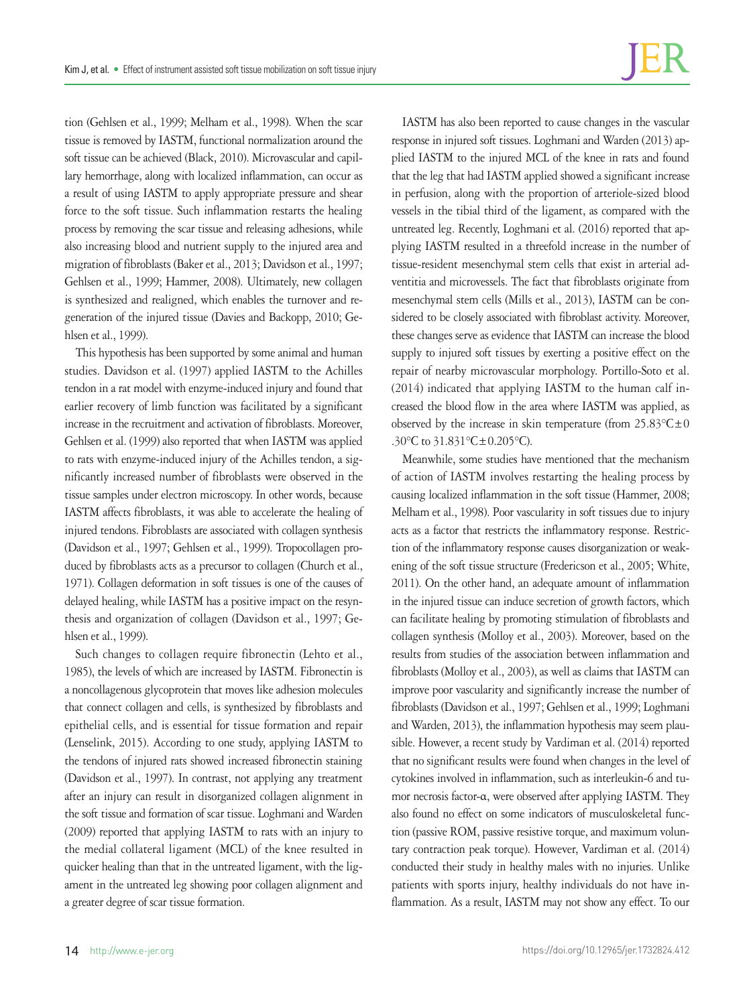tion (Gehlsen et al., 1999; Melham et al., 1998). When the scar tissue is removed by IASTM, functional normalization around the soft tissue can be achieved (Black, 2010). Microvascular and capillary hemorrhage, along with localized inflammation, can occur as a result of using IASTM to apply appropriate pressure and shear force to the soft tissue. Such inflammation restarts the healing process by removing the scar tissue and releasing adhesions, while also increasing blood and nutrient supply to the injured area and migration of fibroblasts (Baker et al., 2013; Davidson et al., 1997; Gehlsen et al., 1999; Hammer, 2008). Ultimately, new collagen is synthesized and realigned, which enables the turnover and regeneration of the injured tissue (Davies and Backopp, 2010; Gehlsen et al., 1999).

This hypothesis has been supported by some animal and human studies. Davidson et al. (1997) applied IASTM to the Achilles tendon in a rat model with enzyme-induced injury and found that earlier recovery of limb function was facilitated by a significant increase in the recruitment and activation of fibroblasts. Moreover, Gehlsen et al. (1999) also reported that when IASTM was applied to rats with enzyme-induced injury of the Achilles tendon, a significantly increased number of fibroblasts were observed in the tissue samples under electron microscopy. In other words, because IASTM affects fibroblasts, it was able to accelerate the healing of injured tendons. Fibroblasts are associated with collagen synthesis (Davidson et al., 1997; Gehlsen et al., 1999). Tropocollagen produced by fibroblasts acts as a precursor to collagen (Church et al., 1971). Collagen deformation in soft tissues is one of the causes of delayed healing, while IASTM has a positive impact on the resynthesis and organization of collagen (Davidson et al., 1997; Gehlsen et al., 1999).

Such changes to collagen require fibronectin (Lehto et al., 1985), the levels of which are increased by IASTM. Fibronectin is a noncollagenous glycoprotein that moves like adhesion molecules that connect collagen and cells, is synthesized by fibroblasts and epithelial cells, and is essential for tissue formation and repair (Lenselink, 2015). According to one study, applying IASTM to the tendons of injured rats showed increased fibronectin staining (Davidson et al., 1997). In contrast, not applying any treatment after an injury can result in disorganized collagen alignment in the soft tissue and formation of scar tissue. Loghmani and Warden (2009) reported that applying IASTM to rats with an injury to the medial collateral ligament (MCL) of the knee resulted in quicker healing than that in the untreated ligament, with the ligament in the untreated leg showing poor collagen alignment and a greater degree of scar tissue formation.

IASTM has also been reported to cause changes in the vascular response in injured soft tissues. Loghmani and Warden (2013) applied IASTM to the injured MCL of the knee in rats and found that the leg that had IASTM applied showed a significant increase in perfusion, along with the proportion of arteriole-sized blood vessels in the tibial third of the ligament, as compared with the untreated leg. Recently, Loghmani et al. (2016) reported that applying IASTM resulted in a threefold increase in the number of tissue-resident mesenchymal stem cells that exist in arterial adventitia and microvessels. The fact that fibroblasts originate from mesenchymal stem cells (Mills et al., 2013), IASTM can be considered to be closely associated with fibroblast activity. Moreover, these changes serve as evidence that IASTM can increase the blood supply to injured soft tissues by exerting a positive effect on the repair of nearby microvascular morphology. Portillo-Soto et al. (2014) indicated that applying IASTM to the human calf increased the blood flow in the area where IASTM was applied, as observed by the increase in skin temperature (from  $25.83^{\circ}\text{C} \pm 0$ .30°C to 31.831°C±0.205°C).

Meanwhile, some studies have mentioned that the mechanism of action of IASTM involves restarting the healing process by causing localized inflammation in the soft tissue (Hammer, 2008; Melham et al., 1998). Poor vascularity in soft tissues due to injury acts as a factor that restricts the inflammatory response. Restriction of the inflammatory response causes disorganization or weakening of the soft tissue structure (Fredericson et al., 2005; White, 2011). On the other hand, an adequate amount of inflammation in the injured tissue can induce secretion of growth factors, which can facilitate healing by promoting stimulation of fibroblasts and collagen synthesis (Molloy et al., 2003). Moreover, based on the results from studies of the association between inflammation and fibroblasts (Molloy et al., 2003), as well as claims that IASTM can improve poor vascularity and significantly increase the number of fibroblasts (Davidson et al., 1997; Gehlsen et al., 1999; Loghmani and Warden, 2013), the inflammation hypothesis may seem plausible. However, a recent study by Vardiman et al. (2014) reported that no significant results were found when changes in the level of cytokines involved in inflammation, such as interleukin-6 and tumor necrosis factor-α, were observed after applying IASTM. They also found no effect on some indicators of musculoskeletal function (passive ROM, passive resistive torque, and maximum voluntary contraction peak torque). However, Vardiman et al. (2014) conducted their study in healthy males with no injuries. Unlike patients with sports injury, healthy individuals do not have inflammation. As a result, IASTM may not show any effect. To our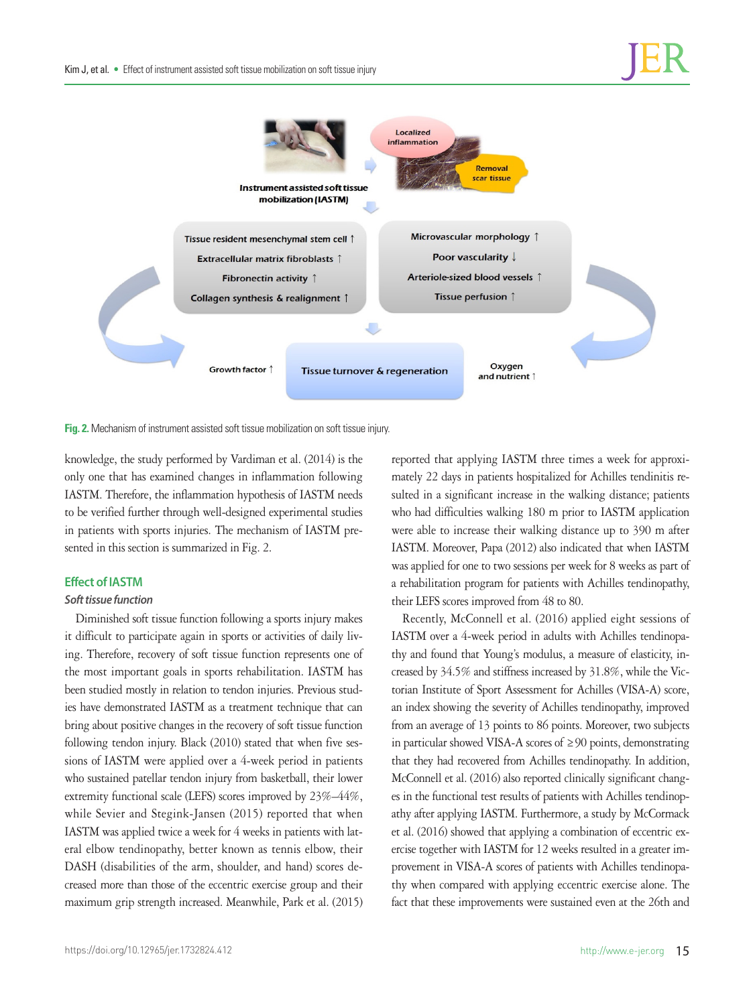

**Fig. 2.** Mechanism of instrument assisted soft tissue mobilization on soft tissue injury.

knowledge, the study performed by Vardiman et al. (2014) is the only one that has examined changes in inflammation following IASTM. Therefore, the inflammation hypothesis of IASTM needs to be verified further through well-designed experimental studies in patients with sports injuries. The mechanism of IASTM presented in this section is summarized in Fig. 2.

### **Effect of IASTM**

### *Soft tissue function*

Diminished soft tissue function following a sports injury makes it difficult to participate again in sports or activities of daily living. Therefore, recovery of soft tissue function represents one of the most important goals in sports rehabilitation. IASTM has been studied mostly in relation to tendon injuries. Previous studies have demonstrated IASTM as a treatment technique that can bring about positive changes in the recovery of soft tissue function following tendon injury. Black (2010) stated that when five sessions of IASTM were applied over a 4-week period in patients who sustained patellar tendon injury from basketball, their lower extremity functional scale (LEFS) scores improved by 23%–44%, while Sevier and Stegink-Jansen (2015) reported that when IASTM was applied twice a week for 4 weeks in patients with lateral elbow tendinopathy, better known as tennis elbow, their DASH (disabilities of the arm, shoulder, and hand) scores decreased more than those of the eccentric exercise group and their maximum grip strength increased. Meanwhile, Park et al. (2015)

reported that applying IASTM three times a week for approximately 22 days in patients hospitalized for Achilles tendinitis resulted in a significant increase in the walking distance; patients who had difficulties walking 180 m prior to IASTM application were able to increase their walking distance up to 390 m after IASTM. Moreover, Papa (2012) also indicated that when IASTM was applied for one to two sessions per week for 8 weeks as part of a rehabilitation program for patients with Achilles tendinopathy, their LEFS scores improved from 48 to 80.

Recently, McConnell et al. (2016) applied eight sessions of IASTM over a 4-week period in adults with Achilles tendinopathy and found that Young's modulus, a measure of elasticity, increased by 34.5% and stiffness increased by 31.8%, while the Victorian Institute of Sport Assessment for Achilles (VISA-A) score, an index showing the severity of Achilles tendinopathy, improved from an average of 13 points to 86 points. Moreover, two subjects in particular showed VISA-A scores of ≥90 points, demonstrating that they had recovered from Achilles tendinopathy. In addition, McConnell et al. (2016) also reported clinically significant changes in the functional test results of patients with Achilles tendinopathy after applying IASTM. Furthermore, a study by McCormack et al. (2016) showed that applying a combination of eccentric exercise together with IASTM for 12 weeks resulted in a greater improvement in VISA-A scores of patients with Achilles tendinopathy when compared with applying eccentric exercise alone. The fact that these improvements were sustained even at the 26th and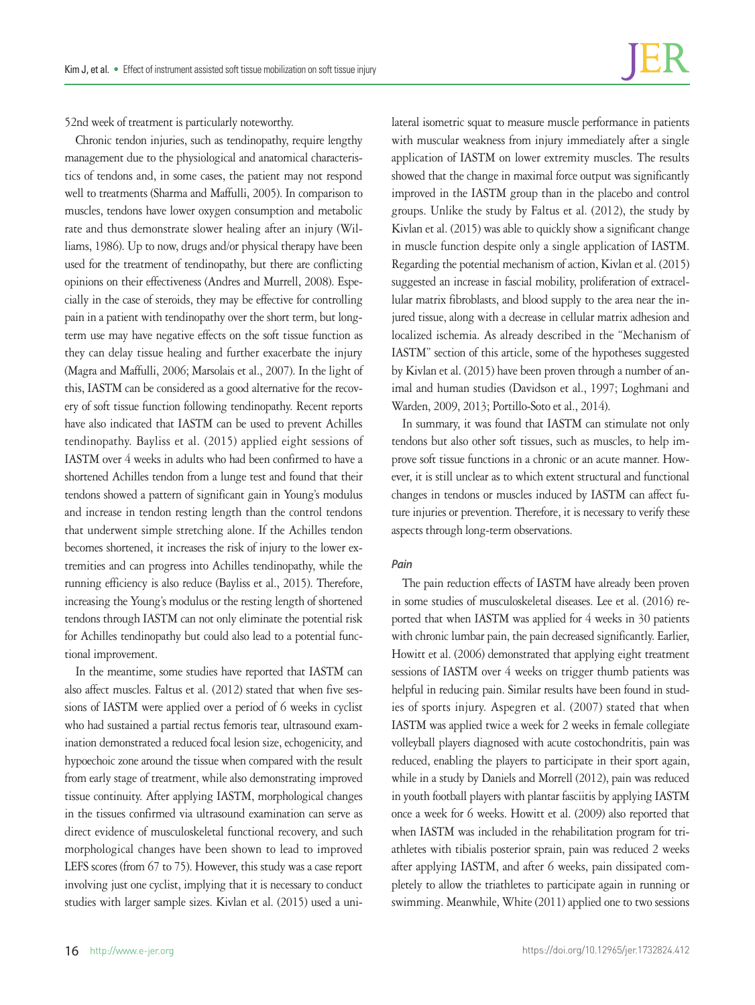52nd week of treatment is particularly noteworthy.

Chronic tendon injuries, such as tendinopathy, require lengthy management due to the physiological and anatomical characteristics of tendons and, in some cases, the patient may not respond well to treatments (Sharma and Maffulli, 2005). In comparison to muscles, tendons have lower oxygen consumption and metabolic rate and thus demonstrate slower healing after an injury (Williams, 1986). Up to now, drugs and/or physical therapy have been used for the treatment of tendinopathy, but there are conflicting opinions on their effectiveness (Andres and Murrell, 2008). Especially in the case of steroids, they may be effective for controlling pain in a patient with tendinopathy over the short term, but longterm use may have negative effects on the soft tissue function as they can delay tissue healing and further exacerbate the injury (Magra and Maffulli, 2006; Marsolais et al., 2007). In the light of this, IASTM can be considered as a good alternative for the recovery of soft tissue function following tendinopathy. Recent reports have also indicated that IASTM can be used to prevent Achilles tendinopathy. Bayliss et al. (2015) applied eight sessions of IASTM over 4 weeks in adults who had been confirmed to have a shortened Achilles tendon from a lunge test and found that their tendons showed a pattern of significant gain in Young's modulus and increase in tendon resting length than the control tendons that underwent simple stretching alone. If the Achilles tendon becomes shortened, it increases the risk of injury to the lower extremities and can progress into Achilles tendinopathy, while the running efficiency is also reduce (Bayliss et al., 2015). Therefore, increasing the Young's modulus or the resting length of shortened tendons through IASTM can not only eliminate the potential risk for Achilles tendinopathy but could also lead to a potential functional improvement.

In the meantime, some studies have reported that IASTM can also affect muscles. Faltus et al. (2012) stated that when five sessions of IASTM were applied over a period of 6 weeks in cyclist who had sustained a partial rectus femoris tear, ultrasound examination demonstrated a reduced focal lesion size, echogenicity, and hypoechoic zone around the tissue when compared with the result from early stage of treatment, while also demonstrating improved tissue continuity. After applying IASTM, morphological changes in the tissues confirmed via ultrasound examination can serve as direct evidence of musculoskeletal functional recovery, and such morphological changes have been shown to lead to improved LEFS scores (from 67 to 75). However, this study was a case report involving just one cyclist, implying that it is necessary to conduct studies with larger sample sizes. Kivlan et al. (2015) used a uni-

lateral isometric squat to measure muscle performance in patients with muscular weakness from injury immediately after a single application of IASTM on lower extremity muscles. The results showed that the change in maximal force output was significantly improved in the IASTM group than in the placebo and control groups. Unlike the study by Faltus et al. (2012), the study by Kivlan et al. (2015) was able to quickly show a significant change in muscle function despite only a single application of IASTM. Regarding the potential mechanism of action, Kivlan et al. (2015) suggested an increase in fascial mobility, proliferation of extracellular matrix fibroblasts, and blood supply to the area near the injured tissue, along with a decrease in cellular matrix adhesion and localized ischemia. As already described in the "Mechanism of IASTM" section of this article, some of the hypotheses suggested by Kivlan et al. (2015) have been proven through a number of animal and human studies (Davidson et al., 1997; Loghmani and Warden, 2009, 2013; Portillo-Soto et al., 2014).

In summary, it was found that IASTM can stimulate not only tendons but also other soft tissues, such as muscles, to help improve soft tissue functions in a chronic or an acute manner. However, it is still unclear as to which extent structural and functional changes in tendons or muscles induced by IASTM can affect future injuries or prevention. Therefore, it is necessary to verify these aspects through long-term observations.

## *Pain*

The pain reduction effects of IASTM have already been proven in some studies of musculoskeletal diseases. Lee et al. (2016) reported that when IASTM was applied for 4 weeks in 30 patients with chronic lumbar pain, the pain decreased significantly. Earlier, Howitt et al. (2006) demonstrated that applying eight treatment sessions of IASTM over 4 weeks on trigger thumb patients was helpful in reducing pain. Similar results have been found in studies of sports injury. Aspegren et al. (2007) stated that when IASTM was applied twice a week for 2 weeks in female collegiate volleyball players diagnosed with acute costochondritis, pain was reduced, enabling the players to participate in their sport again, while in a study by Daniels and Morrell (2012), pain was reduced in youth football players with plantar fasciitis by applying IASTM once a week for 6 weeks. Howitt et al. (2009) also reported that when IASTM was included in the rehabilitation program for triathletes with tibialis posterior sprain, pain was reduced 2 weeks after applying IASTM, and after 6 weeks, pain dissipated completely to allow the triathletes to participate again in running or swimming. Meanwhile, White (2011) applied one to two sessions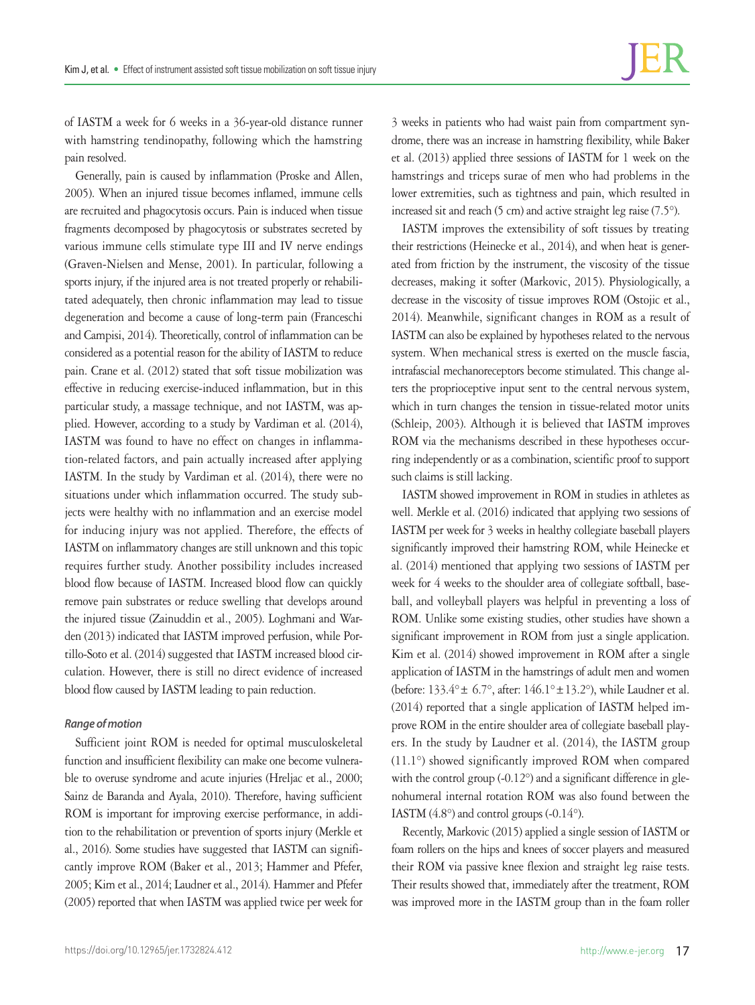of IASTM a week for 6 weeks in a 36-year-old distance runner with hamstring tendinopathy, following which the hamstring pain resolved.

Generally, pain is caused by inflammation (Proske and Allen, 2005). When an injured tissue becomes inflamed, immune cells are recruited and phagocytosis occurs. Pain is induced when tissue fragments decomposed by phagocytosis or substrates secreted by various immune cells stimulate type III and IV nerve endings (Graven-Nielsen and Mense, 2001). In particular, following a sports injury, if the injured area is not treated properly or rehabilitated adequately, then chronic inflammation may lead to tissue degeneration and become a cause of long-term pain (Franceschi and Campisi, 2014). Theoretically, control of inflammation can be considered as a potential reason for the ability of IASTM to reduce pain. Crane et al. (2012) stated that soft tissue mobilization was effective in reducing exercise-induced inflammation, but in this particular study, a massage technique, and not IASTM, was applied. However, according to a study by Vardiman et al. (2014), IASTM was found to have no effect on changes in inflammation-related factors, and pain actually increased after applying IASTM. In the study by Vardiman et al. (2014), there were no situations under which inflammation occurred. The study subjects were healthy with no inflammation and an exercise model for inducing injury was not applied. Therefore, the effects of IASTM on inflammatory changes are still unknown and this topic requires further study. Another possibility includes increased blood flow because of IASTM. Increased blood flow can quickly remove pain substrates or reduce swelling that develops around the injured tissue (Zainuddin et al., 2005). Loghmani and Warden (2013) indicated that IASTM improved perfusion, while Portillo-Soto et al. (2014) suggested that IASTM increased blood circulation. However, there is still no direct evidence of increased blood flow caused by IASTM leading to pain reduction.

#### *Range of motion*

Sufficient joint ROM is needed for optimal musculoskeletal function and insufficient flexibility can make one become vulnerable to overuse syndrome and acute injuries (Hreljac et al., 2000; Sainz de Baranda and Ayala, 2010). Therefore, having sufficient ROM is important for improving exercise performance, in addition to the rehabilitation or prevention of sports injury (Merkle et al., 2016). Some studies have suggested that IASTM can significantly improve ROM (Baker et al., 2013; Hammer and Pfefer, 2005; Kim et al., 2014; Laudner et al., 2014). Hammer and Pfefer (2005) reported that when IASTM was applied twice per week for

3 weeks in patients who had waist pain from compartment syndrome, there was an increase in hamstring flexibility, while Baker et al. (2013) applied three sessions of IASTM for 1 week on the hamstrings and triceps surae of men who had problems in the lower extremities, such as tightness and pain, which resulted in increased sit and reach (5 cm) and active straight leg raise (7.5°).

IASTM improves the extensibility of soft tissues by treating their restrictions (Heinecke et al., 2014), and when heat is generated from friction by the instrument, the viscosity of the tissue decreases, making it softer (Markovic, 2015). Physiologically, a decrease in the viscosity of tissue improves ROM (Ostojic et al., 2014). Meanwhile, significant changes in ROM as a result of IASTM can also be explained by hypotheses related to the nervous system. When mechanical stress is exerted on the muscle fascia, intrafascial mechanoreceptors become stimulated. This change alters the proprioceptive input sent to the central nervous system, which in turn changes the tension in tissue-related motor units (Schleip, 2003). Although it is believed that IASTM improves ROM via the mechanisms described in these hypotheses occurring independently or as a combination, scientific proof to support such claims is still lacking.

IASTM showed improvement in ROM in studies in athletes as well. Merkle et al. (2016) indicated that applying two sessions of IASTM per week for 3 weeks in healthy collegiate baseball players significantly improved their hamstring ROM, while Heinecke et al. (2014) mentioned that applying two sessions of IASTM per week for 4 weeks to the shoulder area of collegiate softball, baseball, and volleyball players was helpful in preventing a loss of ROM. Unlike some existing studies, other studies have shown a significant improvement in ROM from just a single application. Kim et al. (2014) showed improvement in ROM after a single application of IASTM in the hamstrings of adult men and women (before: 133.4°± 6.7°, after: 146.1°±13.2°), while Laudner et al. (2014) reported that a single application of IASTM helped improve ROM in the entire shoulder area of collegiate baseball players. In the study by Laudner et al. (2014), the IASTM group (11.1°) showed significantly improved ROM when compared with the control group (-0.12°) and a significant difference in glenohumeral internal rotation ROM was also found between the IASTM  $(4.8^{\circ})$  and control groups  $(-0.14^{\circ})$ .

Recently, Markovic (2015) applied a single session of IASTM or foam rollers on the hips and knees of soccer players and measured their ROM via passive knee flexion and straight leg raise tests. Their results showed that, immediately after the treatment, ROM was improved more in the IASTM group than in the foam roller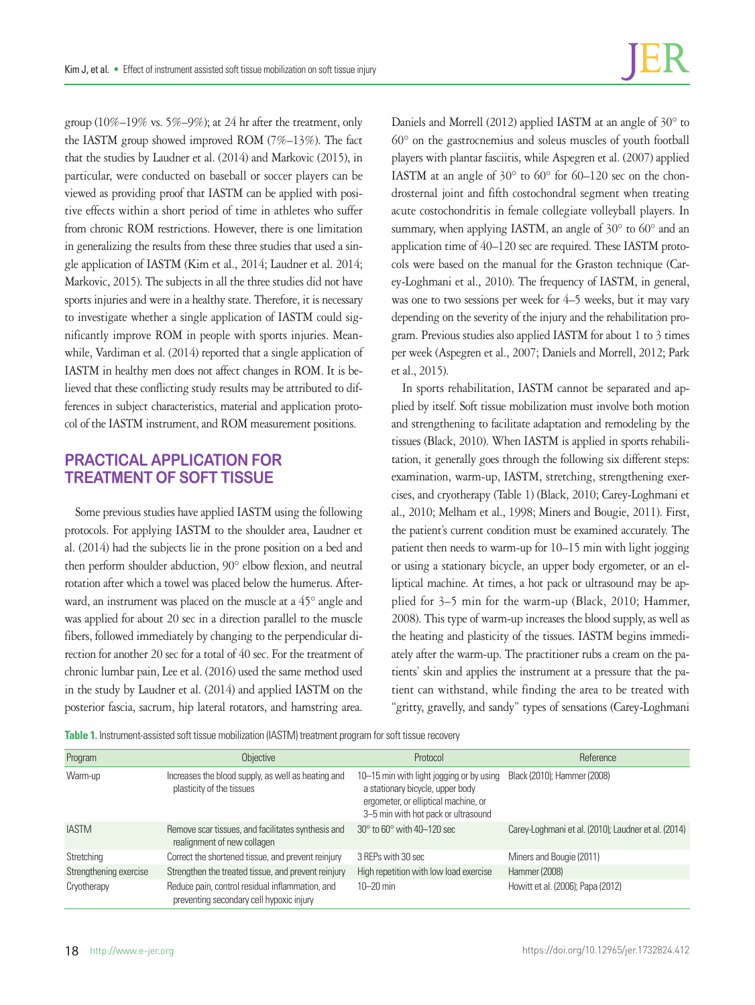group (10%–19% vs. 5%–9%); at 24 hr after the treatment, only the IASTM group showed improved ROM (7%–13%). The fact that the studies by Laudner et al. (2014) and Markovic (2015), in particular, were conducted on baseball or soccer players can be viewed as providing proof that IASTM can be applied with positive effects within a short period of time in athletes who suffer from chronic ROM restrictions. However, there is one limitation in generalizing the results from these three studies that used a single application of IASTM (Kim et al., 2014; Laudner et al. 2014; Markovic, 2015). The subjects in all the three studies did not have sports injuries and were in a healthy state. Therefore, it is necessary to investigate whether a single application of IASTM could significantly improve ROM in people with sports injuries. Meanwhile, Vardiman et al. (2014) reported that a single application of IASTM in healthy men does not affect changes in ROM. It is believed that these conflicting study results may be attributed to differences in subject characteristics, material and application protocol of the IASTM instrument, and ROM measurement positions.

# **PRACTICAL APPLICATION FOR TREATMENT OF SOFT TISSUE**

Some previous studies have applied IASTM using the following protocols. For applying IASTM to the shoulder area, Laudner et al. (2014) had the subjects lie in the prone position on a bed and then perform shoulder abduction, 90° elbow flexion, and neutral rotation after which a towel was placed below the humerus. Afterward, an instrument was placed on the muscle at a 45° angle and was applied for about 20 sec in a direction parallel to the muscle fibers, followed immediately by changing to the perpendicular direction for another 20 sec for a total of 40 sec. For the treatment of chronic lumbar pain, Lee et al. (2016) used the same method used in the study by Laudner et al. (2014) and applied IASTM on the posterior fascia, sacrum, hip lateral rotators, and hamstring area.

Daniels and Morrell (2012) applied IASTM at an angle of 30° to 60° on the gastrocnemius and soleus muscles of youth football players with plantar fasciitis, while Aspegren et al. (2007) applied IASTM at an angle of  $30^{\circ}$  to  $60^{\circ}$  for  $60-120$  sec on the chondrosternal joint and fifth costochondral segment when treating acute costochondritis in female collegiate volleyball players. In summary, when applying IASTM, an angle of 30° to 60° and an application time of 40–120 sec are required. These IASTM protocols were based on the manual for the Graston technique (Carey-Loghmani et al., 2010). The frequency of IASTM, in general, was one to two sessions per week for 4–5 weeks, but it may vary depending on the severity of the injury and the rehabilitation program. Previous studies also applied IASTM for about 1 to 3 times per week (Aspegren et al., 2007; Daniels and Morrell, 2012; Park et al., 2015).

In sports rehabilitation, IASTM cannot be separated and applied by itself. Soft tissue mobilization must involve both motion and strengthening to facilitate adaptation and remodeling by the tissues (Black, 2010). When IASTM is applied in sports rehabilitation, it generally goes through the following six different steps: examination, warm-up, IASTM, stretching, strengthening exercises, and cryotherapy (Table 1) (Black, 2010; Carey-Loghmani et al., 2010; Melham et al., 1998; Miners and Bougie, 2011). First, the patient's current condition must be examined accurately. The patient then needs to warm-up for 10–15 min with light jogging or using a stationary bicycle, an upper body ergometer, or an elliptical machine. At times, a hot pack or ultrasound may be applied for 3–5 min for the warm-up (Black, 2010; Hammer, 2008). This type of warm-up increases the blood supply, as well as the heating and plasticity of the tissues. IASTM begins immediately after the warm-up. The practitioner rubs a cream on the patients' skin and applies the instrument at a pressure that the patient can withstand, while finding the area to be treated with "gritty, gravelly, and sandy" types of sensations (Carey-Loghmani

|  |  | Table 1. Instrument-assisted soft tissue mobilization (IASTM) treatment program for soft tissue recovery |  |
|--|--|----------------------------------------------------------------------------------------------------------|--|
|  |  |                                                                                                          |  |

| Program                | Objective                                                                                   | Protocol                                                                                                                                                    | Reference                                           |
|------------------------|---------------------------------------------------------------------------------------------|-------------------------------------------------------------------------------------------------------------------------------------------------------------|-----------------------------------------------------|
| Warm-up                | Increases the blood supply, as well as heating and<br>plasticity of the tissues             | 10–15 min with light jogging or by using<br>a stationary bicycle, upper body<br>ergometer, or elliptical machine, or<br>3-5 min with hot pack or ultrasound | Black (2010); Hammer (2008)                         |
| <b>IASTM</b>           | Remove scar tissues, and facilitates synthesis and<br>realignment of new collagen           | $30^\circ$ to $60^\circ$ with $40-120$ sec                                                                                                                  | Carey-Loghmani et al. (2010); Laudner et al. (2014) |
| Stretching             | Correct the shortened tissue, and prevent reinjury                                          | 3 REPs with 30 sec                                                                                                                                          | Miners and Bougie (2011)                            |
| Strengthening exercise | Strengthen the treated tissue, and prevent reinjury                                         | High repetition with low load exercise                                                                                                                      | Hammer (2008)                                       |
| Cryotherapy            | Reduce pain, control residual inflammation, and<br>preventing secondary cell hypoxic injury | $10 - 20$ min                                                                                                                                               | Howitt et al. (2006); Papa (2012)                   |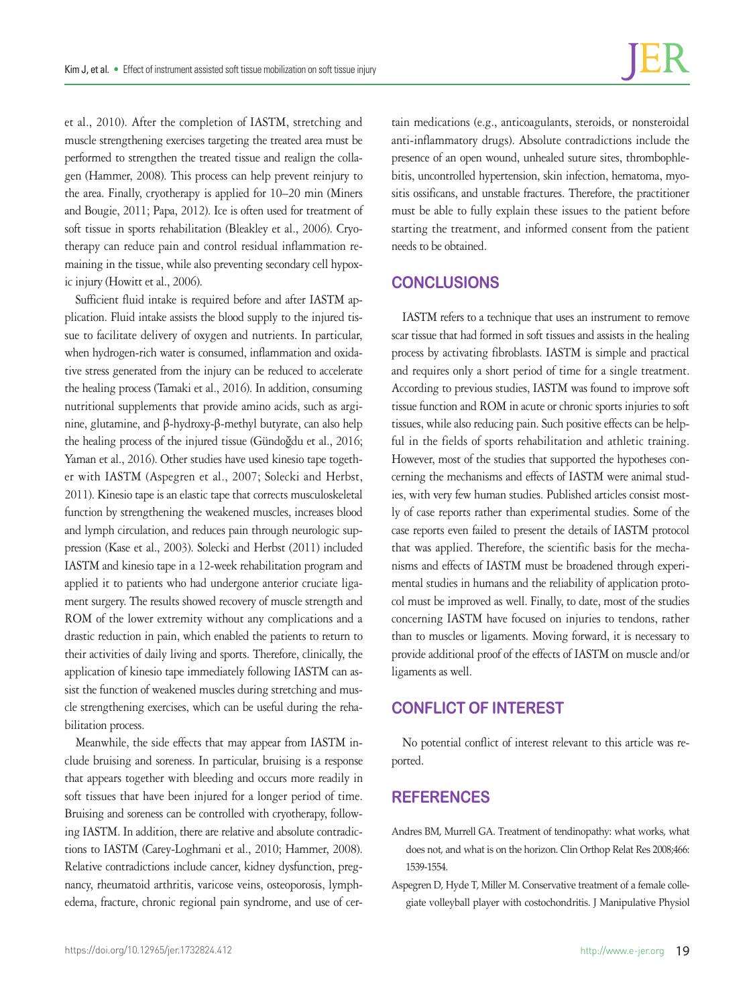et al., 2010). After the completion of IASTM, stretching and muscle strengthening exercises targeting the treated area must be performed to strengthen the treated tissue and realign the collagen (Hammer, 2008). This process can help prevent reinjury to the area. Finally, cryotherapy is applied for 10–20 min (Miners and Bougie, 2011; Papa, 2012). Ice is often used for treatment of soft tissue in sports rehabilitation (Bleakley et al., 2006). Cryotherapy can reduce pain and control residual inflammation remaining in the tissue, while also preventing secondary cell hypoxic injury (Howitt et al., 2006).

Sufficient fluid intake is required before and after IASTM application. Fluid intake assists the blood supply to the injured tissue to facilitate delivery of oxygen and nutrients. In particular, when hydrogen-rich water is consumed, inflammation and oxidative stress generated from the injury can be reduced to accelerate the healing process (Tamaki et al., 2016). In addition, consuming nutritional supplements that provide amino acids, such as arginine, glutamine, and β-hydroxy-β-methyl butyrate, can also help the healing process of the injured tissue (Gündoğdu et al., 2016; Yaman et al., 2016). Other studies have used kinesio tape together with IASTM (Aspegren et al., 2007; Solecki and Herbst, 2011). Kinesio tape is an elastic tape that corrects musculoskeletal function by strengthening the weakened muscles, increases blood and lymph circulation, and reduces pain through neurologic suppression (Kase et al., 2003). Solecki and Herbst (2011) included IASTM and kinesio tape in a 12-week rehabilitation program and applied it to patients who had undergone anterior cruciate ligament surgery. The results showed recovery of muscle strength and ROM of the lower extremity without any complications and a drastic reduction in pain, which enabled the patients to return to their activities of daily living and sports. Therefore, clinically, the application of kinesio tape immediately following IASTM can assist the function of weakened muscles during stretching and muscle strengthening exercises, which can be useful during the rehabilitation process.

Meanwhile, the side effects that may appear from IASTM include bruising and soreness. In particular, bruising is a response that appears together with bleeding and occurs more readily in soft tissues that have been injured for a longer period of time. Bruising and soreness can be controlled with cryotherapy, following IASTM. In addition, there are relative and absolute contradictions to IASTM (Carey-Loghmani et al., 2010; Hammer, 2008). Relative contradictions include cancer, kidney dysfunction, pregnancy, rheumatoid arthritis, varicose veins, osteoporosis, lymphedema, fracture, chronic regional pain syndrome, and use of cer-

tain medications (e.g., anticoagulants, steroids, or nonsteroidal anti-inflammatory drugs). Absolute contradictions include the presence of an open wound, unhealed suture sites, thrombophlebitis, uncontrolled hypertension, skin infection, hematoma, myositis ossificans, and unstable fractures. Therefore, the practitioner must be able to fully explain these issues to the patient before starting the treatment, and informed consent from the patient needs to be obtained.

## **CONCLUSIONS**

IASTM refers to a technique that uses an instrument to remove scar tissue that had formed in soft tissues and assists in the healing process by activating fibroblasts. IASTM is simple and practical and requires only a short period of time for a single treatment. According to previous studies, IASTM was found to improve soft tissue function and ROM in acute or chronic sports injuries to soft tissues, while also reducing pain. Such positive effects can be helpful in the fields of sports rehabilitation and athletic training. However, most of the studies that supported the hypotheses concerning the mechanisms and effects of IASTM were animal studies, with very few human studies. Published articles consist mostly of case reports rather than experimental studies. Some of the case reports even failed to present the details of IASTM protocol that was applied. Therefore, the scientific basis for the mechanisms and effects of IASTM must be broadened through experimental studies in humans and the reliability of application protocol must be improved as well. Finally, to date, most of the studies concerning IASTM have focused on injuries to tendons, rather than to muscles or ligaments. Moving forward, it is necessary to provide additional proof of the effects of IASTM on muscle and/or ligaments as well.

# **CONFLICT OF INTEREST**

No potential conflict of interest relevant to this article was reported.

## **REFERENCES**

- Andres BM, Murrell GA. Treatment of tendinopathy: what works, what does not, and what is on the horizon. Clin Orthop Relat Res 2008;466: 1539-1554.
- Aspegren D, Hyde T, Miller M. Conservative treatment of a female collegiate volleyball player with costochondritis. J Manipulative Physiol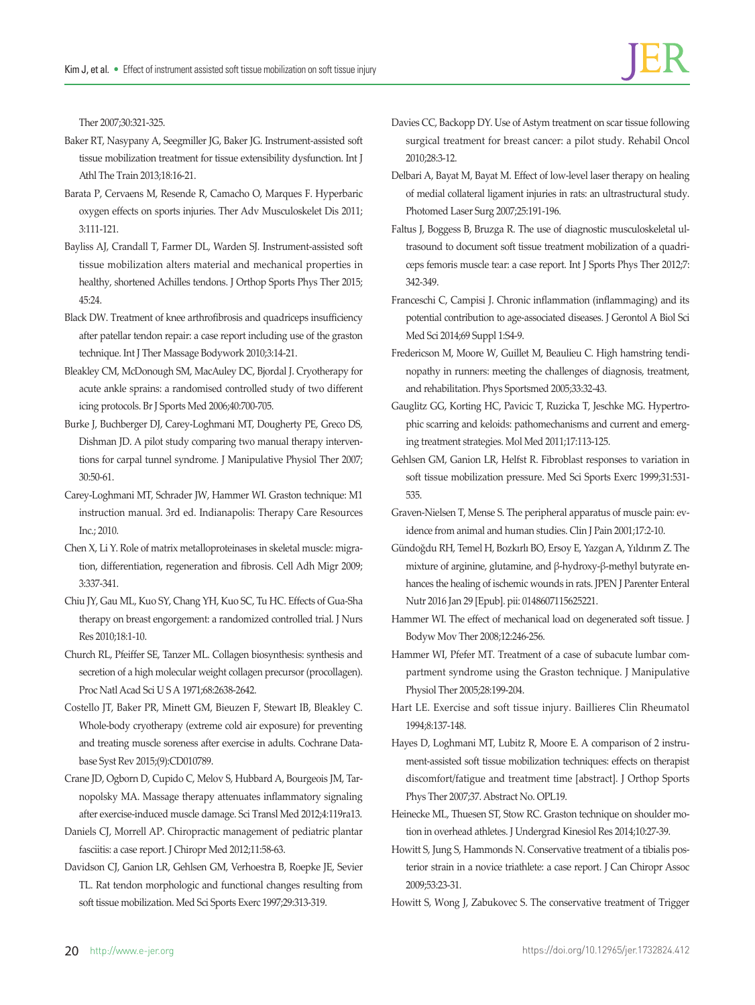Ther 2007;30:321-325.

- Baker RT, Nasypany A, Seegmiller JG, Baker JG. Instrument-assisted soft tissue mobilization treatment for tissue extensibility dysfunction. Int J Athl The Train 2013;18:16-21.
- Barata P, Cervaens M, Resende R, Camacho O, Marques F. Hyperbaric oxygen effects on sports injuries. Ther Adv Musculoskelet Dis 2011; 3:111-121.
- Bayliss AJ, Crandall T, Farmer DL, Warden SJ. Instrument-assisted soft tissue mobilization alters material and mechanical properties in healthy, shortened Achilles tendons. J Orthop Sports Phys Ther 2015; 45:24.
- Black DW. Treatment of knee arthrofibrosis and quadriceps insufficiency after patellar tendon repair: a case report including use of the graston technique. Int J Ther Massage Bodywork 2010;3:14-21.
- Bleakley CM, McDonough SM, MacAuley DC, Bjordal J. Cryotherapy for acute ankle sprains: a randomised controlled study of two different icing protocols. Br J Sports Med 2006;40:700-705.
- Burke J, Buchberger DJ, Carey-Loghmani MT, Dougherty PE, Greco DS, Dishman JD. A pilot study comparing two manual therapy interventions for carpal tunnel syndrome. J Manipulative Physiol Ther 2007; 30:50-61.
- Carey-Loghmani MT, Schrader JW, Hammer WI. Graston technique: M1 instruction manual. 3rd ed. Indianapolis: Therapy Care Resources Inc.; 2010.
- Chen X, Li Y. Role of matrix metalloproteinases in skeletal muscle: migration, differentiation, regeneration and fibrosis. Cell Adh Migr 2009; 3:337-341.
- Chiu JY, Gau ML, Kuo SY, Chang YH, Kuo SC, Tu HC. Effects of Gua-Sha therapy on breast engorgement: a randomized controlled trial. J Nurs Res 2010;18:1-10.
- Church RL, Pfeiffer SE, Tanzer ML. Collagen biosynthesis: synthesis and secretion of a high molecular weight collagen precursor (procollagen). Proc Natl Acad Sci U S A 1971;68:2638-2642.
- Costello JT, Baker PR, Minett GM, Bieuzen F, Stewart IB, Bleakley C. Whole-body cryotherapy (extreme cold air exposure) for preventing and treating muscle soreness after exercise in adults. Cochrane Database Syst Rev 2015;(9):CD010789.
- Crane JD, Ogborn D, Cupido C, Melov S, Hubbard A, Bourgeois JM, Tarnopolsky MA. Massage therapy attenuates inflammatory signaling after exercise-induced muscle damage. Sci Transl Med 2012;4:119ra13.
- Daniels CJ, Morrell AP. Chiropractic management of pediatric plantar fasciitis: a case report. J Chiropr Med 2012;11:58-63.
- Davidson CJ, Ganion LR, Gehlsen GM, Verhoestra B, Roepke JE, Sevier TL. Rat tendon morphologic and functional changes resulting from soft tissue mobilization. Med Sci Sports Exerc 1997;29:313-319.
- Davies CC, Backopp DY. Use of Astym treatment on scar tissue following surgical treatment for breast cancer: a pilot study. Rehabil Oncol 2010;28:3-12.
- Delbari A, Bayat M, Bayat M. Effect of low-level laser therapy on healing of medial collateral ligament injuries in rats: an ultrastructural study. Photomed Laser Surg 2007;25:191-196.
- Faltus J, Boggess B, Bruzga R. The use of diagnostic musculoskeletal ultrasound to document soft tissue treatment mobilization of a quadriceps femoris muscle tear: a case report. Int J Sports Phys Ther 2012;7: 342-349.
- Franceschi C, Campisi J. Chronic inflammation (inflammaging) and its potential contribution to age-associated diseases. J Gerontol A Biol Sci Med Sci 2014;69 Suppl 1:S4-9.
- Fredericson M, Moore W, Guillet M, Beaulieu C. High hamstring tendinopathy in runners: meeting the challenges of diagnosis, treatment, and rehabilitation. Phys Sportsmed 2005;33:32-43.
- Gauglitz GG, Korting HC, Pavicic T, Ruzicka T, Jeschke MG. Hypertrophic scarring and keloids: pathomechanisms and current and emerging treatment strategies. Mol Med 2011;17:113-125.
- Gehlsen GM, Ganion LR, Helfst R. Fibroblast responses to variation in soft tissue mobilization pressure. Med Sci Sports Exerc 1999;31:531- 535.
- Graven-Nielsen T, Mense S. The peripheral apparatus of muscle pain: evidence from animal and human studies. Clin J Pain 2001;17:2-10.
- Gündoğdu RH, Temel H, Bozkırlı BO, Ersoy E, Yazgan A, Yıldırım Z. The mixture of arginine, glutamine, and β-hydroxy-β-methyl butyrate enhances the healing of ischemic wounds in rats. JPEN J Parenter Enteral Nutr 2016 Jan 29 [Epub]. pii: 0148607115625221.
- Hammer WI. The effect of mechanical load on degenerated soft tissue. J Bodyw Mov Ther 2008;12:246-256.
- Hammer WI, Pfefer MT. Treatment of a case of subacute lumbar compartment syndrome using the Graston technique. J Manipulative Physiol Ther 2005;28:199-204.
- Hart LE. Exercise and soft tissue injury. Baillieres Clin Rheumatol 1994;8:137-148.
- Hayes D, Loghmani MT, Lubitz R, Moore E. A comparison of 2 instrument-assisted soft tissue mobilization techniques: effects on therapist discomfort/fatigue and treatment time [abstract]. J Orthop Sports Phys Ther 2007;37. Abstract No. OPL19.
- Heinecke ML, Thuesen ST, Stow RC. Graston technique on shoulder motion in overhead athletes. J Undergrad Kinesiol Res 2014;10:27-39.
- Howitt S, Jung S, Hammonds N. Conservative treatment of a tibialis posterior strain in a novice triathlete: a case report. J Can Chiropr Assoc 2009;53:23-31.
- Howitt S, Wong J, Zabukovec S. The conservative treatment of Trigger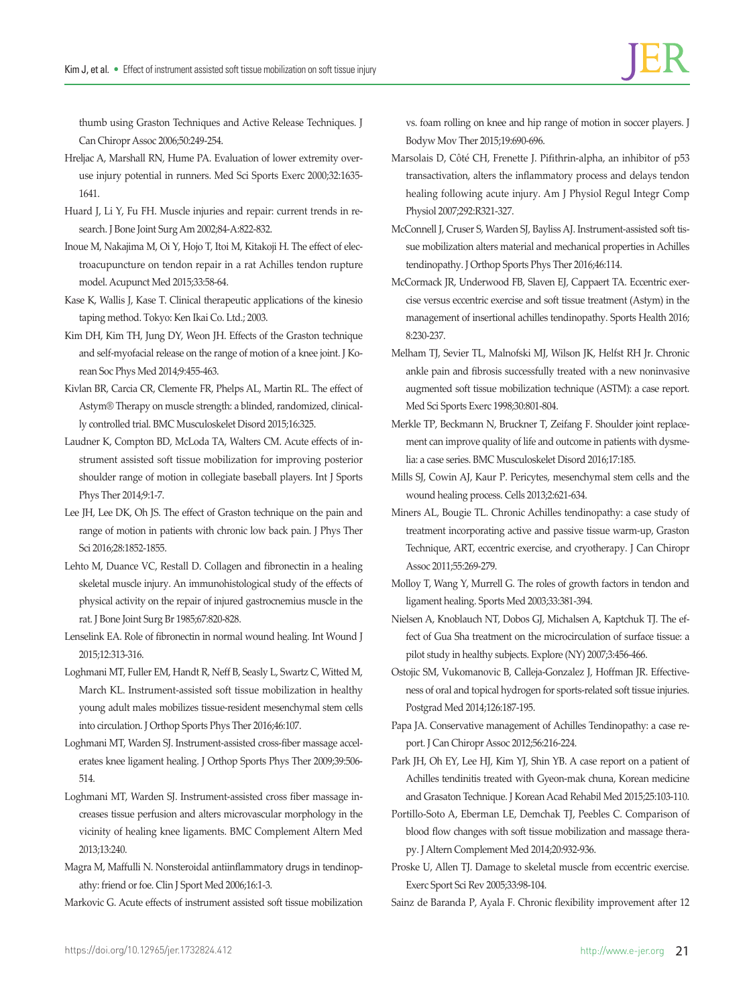thumb using Graston Techniques and Active Release Techniques. J Can Chiropr Assoc 2006;50:249-254.

- Hreljac A, Marshall RN, Hume PA. Evaluation of lower extremity overuse injury potential in runners. Med Sci Sports Exerc 2000;32:1635- 1641.
- Huard J, Li Y, Fu FH. Muscle injuries and repair: current trends in research. J Bone Joint Surg Am 2002;84-A:822-832.
- Inoue M, Nakajima M, Oi Y, Hojo T, Itoi M, Kitakoji H. The effect of electroacupuncture on tendon repair in a rat Achilles tendon rupture model. Acupunct Med 2015;33:58-64.
- Kase K, Wallis J, Kase T. Clinical therapeutic applications of the kinesio taping method. Tokyo: Ken Ikai Co. Ltd.; 2003.
- Kim DH, Kim TH, Jung DY, Weon JH. Effects of the Graston technique and self-myofacial release on the range of motion of a knee joint. J Korean Soc Phys Med 2014;9:455-463.
- Kivlan BR, Carcia CR, Clemente FR, Phelps AL, Martin RL. The effect of Astym® Therapy on muscle strength: a blinded, randomized, clinically controlled trial. BMC Musculoskelet Disord 2015;16:325.
- Laudner K, Compton BD, McLoda TA, Walters CM. Acute effects of instrument assisted soft tissue mobilization for improving posterior shoulder range of motion in collegiate baseball players. Int J Sports Phys Ther 2014;9:1-7.
- Lee JH, Lee DK, Oh JS. The effect of Graston technique on the pain and range of motion in patients with chronic low back pain. J Phys Ther Sci 2016;28:1852-1855.
- Lehto M, Duance VC, Restall D. Collagen and fibronectin in a healing skeletal muscle injury. An immunohistological study of the effects of physical activity on the repair of injured gastrocnemius muscle in the rat. J Bone Joint Surg Br 1985;67:820-828.
- Lenselink EA. Role of fibronectin in normal wound healing. Int Wound J 2015;12:313-316.
- Loghmani MT, Fuller EM, Handt R, Neff B, Seasly L, Swartz C, Witted M, March KL. Instrument-assisted soft tissue mobilization in healthy young adult males mobilizes tissue-resident mesenchymal stem cells into circulation. J Orthop Sports Phys Ther 2016;46:107.
- Loghmani MT, Warden SJ. Instrument-assisted cross-fiber massage accelerates knee ligament healing. J Orthop Sports Phys Ther 2009;39:506- 514.
- Loghmani MT, Warden SJ. Instrument-assisted cross fiber massage increases tissue perfusion and alters microvascular morphology in the vicinity of healing knee ligaments. BMC Complement Altern Med 2013;13:240.
- Magra M, Maffulli N. Nonsteroidal antiinflammatory drugs in tendinopathy: friend or foe. Clin J Sport Med 2006;16:1-3.
- Markovic G. Acute effects of instrument assisted soft tissue mobilization

vs. foam rolling on knee and hip range of motion in soccer players. J Bodyw Mov Ther 2015;19:690-696.

- Marsolais D, Côté CH, Frenette J. Pifithrin-alpha, an inhibitor of p53 transactivation, alters the inflammatory process and delays tendon healing following acute injury. Am J Physiol Regul Integr Comp Physiol 2007;292:R321-327.
- McConnell J, Cruser S, Warden SJ, Bayliss AJ. Instrument-assisted soft tissue mobilization alters material and mechanical properties in Achilles tendinopathy. J Orthop Sports Phys Ther 2016;46:114.
- McCormack JR, Underwood FB, Slaven EJ, Cappaert TA. Eccentric exercise versus eccentric exercise and soft tissue treatment (Astym) in the management of insertional achilles tendinopathy. Sports Health 2016; 8:230-237.
- Melham TJ, Sevier TL, Malnofski MJ, Wilson JK, Helfst RH Jr. Chronic ankle pain and fibrosis successfully treated with a new noninvasive augmented soft tissue mobilization technique (ASTM): a case report. Med Sci Sports Exerc 1998;30:801-804.
- Merkle TP, Beckmann N, Bruckner T, Zeifang F. Shoulder joint replacement can improve quality of life and outcome in patients with dysmelia: a case series. BMC Musculoskelet Disord 2016;17:185.
- Mills SJ, Cowin AJ, Kaur P. Pericytes, mesenchymal stem cells and the wound healing process. Cells 2013;2:621-634.
- Miners AL, Bougie TL. Chronic Achilles tendinopathy: a case study of treatment incorporating active and passive tissue warm-up, Graston Technique, ART, eccentric exercise, and cryotherapy. J Can Chiropr Assoc 2011;55:269-279.
- Molloy T, Wang Y, Murrell G. The roles of growth factors in tendon and ligament healing. Sports Med 2003;33:381-394.
- Nielsen A, Knoblauch NT, Dobos GJ, Michalsen A, Kaptchuk TJ. The effect of Gua Sha treatment on the microcirculation of surface tissue: a pilot study in healthy subjects. Explore (NY) 2007;3:456-466.
- Ostojic SM, Vukomanovic B, Calleja-Gonzalez J, Hoffman JR. Effectiveness of oral and topical hydrogen for sports-related soft tissue injuries. Postgrad Med 2014;126:187-195.
- Papa JA. Conservative management of Achilles Tendinopathy: a case report. J Can Chiropr Assoc 2012;56:216-224.
- Park JH, Oh EY, Lee HJ, Kim YJ, Shin YB. A case report on a patient of Achilles tendinitis treated with Gyeon-mak chuna, Korean medicine and Grasaton Technique. J Korean Acad Rehabil Med 2015;25:103-110.
- Portillo-Soto A, Eberman LE, Demchak TJ, Peebles C. Comparison of blood flow changes with soft tissue mobilization and massage therapy. J Altern Complement Med 2014;20:932-936.
- Proske U, Allen TJ. Damage to skeletal muscle from eccentric exercise. Exerc Sport Sci Rev 2005;33:98-104.

Sainz de Baranda P, Ayala F. Chronic flexibility improvement after 12